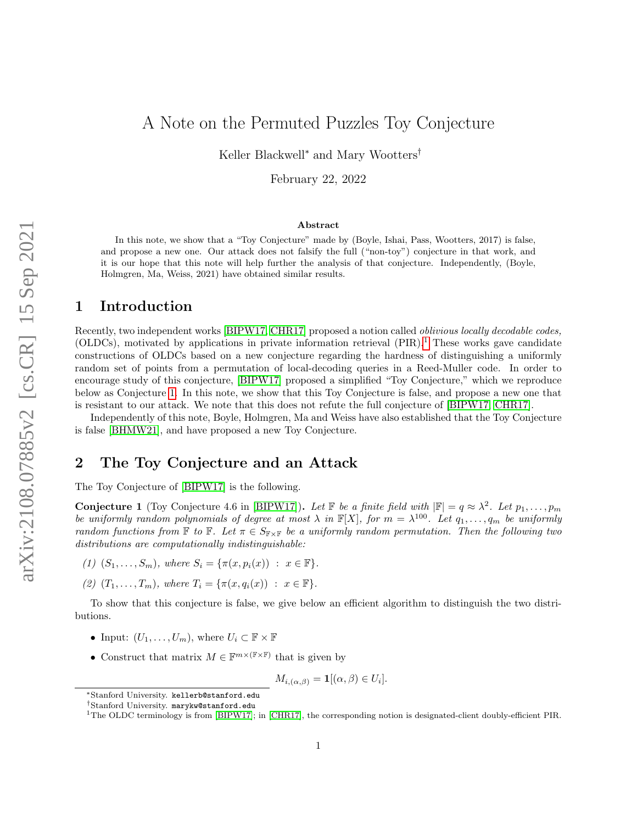Keller Blackwell<sup>∗</sup> and Mary Wootters†

February 22, 2022

#### Abstract

In this note, we show that a "Toy Conjecture" made by (Boyle, Ishai, Pass, Wootters, 2017) is false, and propose a new one. Our attack does not falsify the full ("non-toy") conjecture in that work, and it is our hope that this note will help further the analysis of that conjecture. Independently, (Boyle, Holmgren, Ma, Weiss, 2021) have obtained similar results.

#### 1 Introduction

Recently, two independent works [\[BIPW17,](#page-3-0) [CHR17\]](#page-3-1) proposed a notion called oblivious locally decodable codes, (OLDCs), motivated by applications in private information retrieval  $(PIR).<sup>1</sup>$  $(PIR).<sup>1</sup>$  $(PIR).<sup>1</sup>$  These works gave candidate constructions of OLDCs based on a new conjecture regarding the hardness of distinguishing a uniformly random set of points from a permutation of local-decoding queries in a Reed-Muller code. In order to encourage study of this conjecture, [\[BIPW17\]](#page-3-0) proposed a simplified "Toy Conjecture," which we reproduce below as Conjecture [1.](#page-0-1) In this note, we show that this Toy Conjecture is false, and propose a new one that is resistant to our attack. We note that this does not refute the full conjecture of [\[BIPW17,](#page-3-0) [CHR17\]](#page-3-1).

Independently of this note, Boyle, Holmgren, Ma and Weiss have also established that the Toy Conjecture is false [\[BHMW21\]](#page-3-2), and have proposed a new Toy Conjecture.

# 2 The Toy Conjecture and an Attack

The Toy Conjecture of [\[BIPW17\]](#page-3-0) is the following.

<span id="page-0-1"></span>**Conjecture 1** (Toy Conjecture 4.6 in [\[BIPW17\]](#page-3-0)). Let  $\mathbb{F}$  be a finite field with  $|\mathbb{F}| = q \approx \lambda^2$ . Let  $p_1, \ldots, p_m$ be uniformly random polynomials of degree at most  $\lambda$  in  $\mathbb{F}[X]$ , for  $m = \lambda^{100}$ . Let  $q_1, \ldots, q_m$  be uniformly random functions from  $\mathbb F$  to  $\mathbb F$ . Let  $\pi \in S_{\mathbb F \times \mathbb F}$  be a uniformly random permutation. Then the following two distributions are computationally indistinguishable:

- (1)  $(S_1, ..., S_m)$ , where  $S_i = {\pi(x, p_i(x)) : x \in \mathbb{F}}$ .
- (2)  $(T_1, \ldots, T_m)$ , where  $T_i = \{\pi(x, q_i(x)) : x \in \mathbb{F}\}.$

To show that this conjecture is false, we give below an efficient algorithm to distinguish the two distributions.

- Input:  $(U_1, \ldots, U_m)$ , where  $U_i \subset \mathbb{F} \times \mathbb{F}$
- Construct that matrix  $M \in \mathbb{F}^{m \times (\mathbb{F} \times \mathbb{F})}$  that is given by

$$
M_{i,(\alpha,\beta)} = \mathbf{1}[(\alpha,\beta) \in U_i].
$$

<sup>∗</sup>Stanford University. kellerb@stanford.edu

<sup>†</sup>Stanford University. marykw@stanford.edu

<span id="page-0-0"></span><sup>&</sup>lt;sup>1</sup>The OLDC terminology is from [\[BIPW17\]](#page-3-0); in [\[CHR17\]](#page-3-1), the corresponding notion is designated-client doubly-efficient PIR.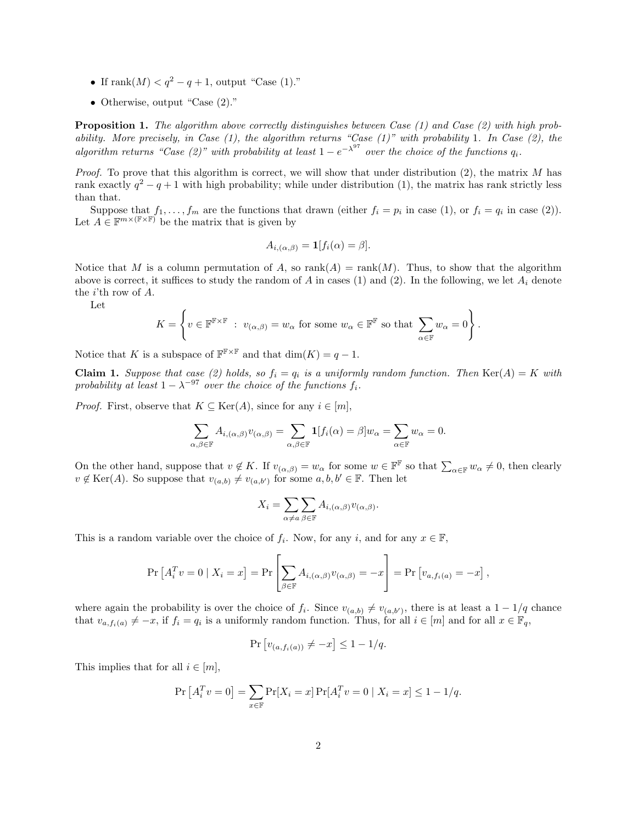- If rank $(M) < q^2 q + 1$ , output "Case (1)."
- Otherwise, output "Case (2)."

Proposition 1. The algorithm above correctly distinguishes between Case (1) and Case (2) with high probability. More precisely, in Case  $(1)$ , the algorithm returns "Case  $(1)$ " with probability 1. In Case  $(2)$ , the algorithm returns "Case (2)" with probability at least  $1-e^{-\lambda^{97}}$  over the choice of the functions  $q_i$ .

*Proof.* To prove that this algorithm is correct, we will show that under distribution  $(2)$ , the matrix M has rank exactly  $q^2 - q + 1$  with high probability; while under distribution (1), the matrix has rank strictly less than that.

Suppose that  $f_1, \ldots, f_m$  are the functions that drawn (either  $f_i = p_i$  in case (1), or  $f_i = q_i$  in case (2)). Let  $A \in \mathbb{F}^{m \times (\mathbb{F} \times \mathbb{F})}$  be the matrix that is given by

$$
A_{i,(\alpha,\beta)} = \mathbf{1}[f_i(\alpha) = \beta].
$$

Notice that M is a column permutation of A, so rank(A) = rank(M). Thus, to show that the algorithm above is correct, it suffices to study the random of A in cases (1) and (2). In the following, we let  $A_i$  denote the  $i$ 'th row of  $A$ .

Let

$$
K = \left\{ v \in \mathbb{F}^{\mathbb{F} \times \mathbb{F}} : v_{(\alpha,\beta)} = w_{\alpha} \text{ for some } w_{\alpha} \in \mathbb{F}^{\mathbb{F}} \text{ so that } \sum_{\alpha \in \mathbb{F}} w_{\alpha} = 0 \right\}.
$$

Notice that K is a subspace of  $\mathbb{F}^{\mathbb{F} \times \mathbb{F}}$  and that  $\dim(K) = q - 1$ .

Claim 1. Suppose that case (2) holds, so  $f_i = q_i$  is a uniformly random function. Then Ker(A) = K with probability at least  $1 - \lambda^{-97}$  over the choice of the functions  $f_i$ .

*Proof.* First, observe that  $K \subseteq \text{Ker}(A)$ , since for any  $i \in [m]$ ,

$$
\sum_{\alpha,\beta\in\mathbb{F}}A_{i,(\alpha,\beta)}v_{(\alpha,\beta)}=\sum_{\alpha,\beta\in\mathbb{F}}\mathbf{1}[f_i(\alpha)=\beta]w_\alpha=\sum_{\alpha\in\mathbb{F}}w_\alpha=0.
$$

On the other hand, suppose that  $v \notin K$ . If  $v_{(\alpha,\beta)} = w_\alpha$  for some  $w \in \mathbb{F}^{\mathbb{F}}$  so that  $\sum_{\alpha \in \mathbb{F}} w_\alpha \neq 0$ , then clearly  $v \notin \text{Ker}(A)$ . So suppose that  $v_{(a,b)} \neq v_{(a,b')}$  for some  $a, b, b' \in \mathbb{F}$ . Then let

$$
X_i = \sum_{\alpha \neq a} \sum_{\beta \in \mathbb{F}} A_{i,(\alpha,\beta)} v_{(\alpha,\beta)}.
$$

This is a random variable over the choice of  $f_i$ . Now, for any  $i$ , and for any  $x \in \mathbb{F}$ ,

$$
\Pr\left[A_i^T v = 0 \mid X_i = x\right] = \Pr\left[\sum_{\beta \in \mathbb{F}} A_{i,(\alpha,\beta)} v_{(\alpha,\beta)} = -x\right] = \Pr\left[v_{a,f_i(a)} = -x\right],
$$

where again the probability is over the choice of  $f_i$ . Since  $v_{(a,b)} \neq v_{(a,b')}$ , there is at least a  $1 - 1/q$  chance that  $v_{a,f_i(a)} \neq -x$ , if  $f_i = q_i$  is a uniformly random function. Thus, for all  $i \in [m]$  and for all  $x \in \mathbb{F}_q$ ,

$$
\Pr\left[v_{(a,f_i(a))} \neq -x\right] \leq 1-1/q.
$$

This implies that for all  $i \in [m]$ ,

$$
\Pr\left[A_i^T v = 0\right] = \sum_{x \in \mathbb{F}} \Pr[X_i = x] \Pr[A_i^T v = 0 \mid X_i = x] \le 1 - 1/q.
$$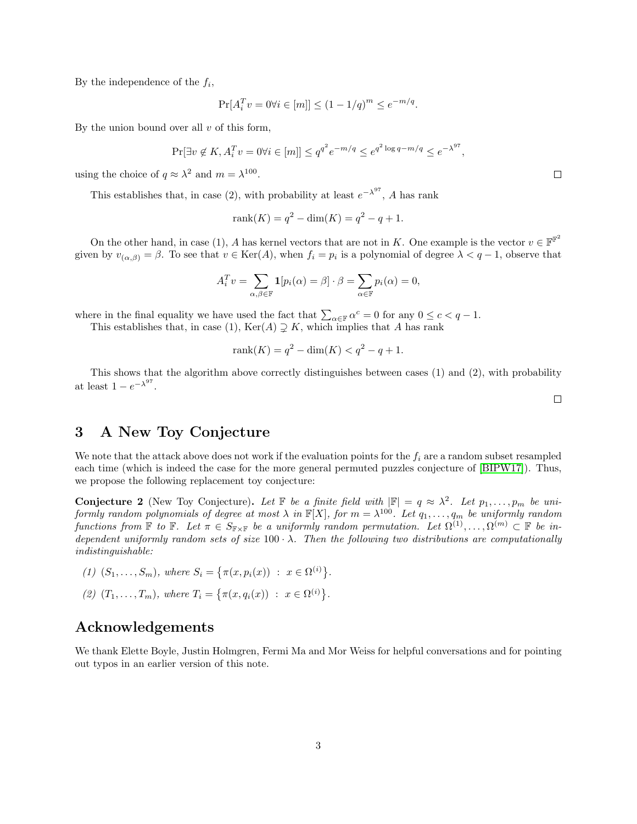By the independence of the  $f_i$ ,

$$
\Pr[A_i^T v = 0 \forall i \in [m]] \le (1 - 1/q)^m \le e^{-m/q}.
$$

By the union bound over all  $v$  of this form,

$$
\Pr[\exists v \notin K, A_i^T v = 0 \forall i \in [m]] \le q^{q^2} e^{-m/q} \le e^{q^2 \log q - m/q} \le e^{-\lambda^{97}}
$$

using the choice of  $q \approx \lambda^2$  and  $m = \lambda^{100}$ .

This establishes that, in case (2), with probability at least  $e^{-\lambda^{97}}$ , A has rank

$$
rank(K) = q^2 - dim(K) = q^2 - q + 1.
$$

On the other hand, in case (1), A has kernel vectors that are not in K. One example is the vector  $v \in \mathbb{F}^{\mathbb{F}^2}$ given by  $v_{(\alpha,\beta)} = \beta$ . To see that  $v \in \text{Ker}(A)$ , when  $f_i = p_i$  is a polynomial of degree  $\lambda < q - 1$ , observe that

$$
A_i^T v = \sum_{\alpha,\beta \in \mathbb{F}} \mathbf{1}[p_i(\alpha) = \beta] \cdot \beta = \sum_{\alpha \in \mathbb{F}} p_i(\alpha) = 0,
$$

where in the final equality we have used the fact that  $\sum_{\alpha \in \mathbb{F}} \alpha^c = 0$  for any  $0 \leq c < q - 1$ . This establishes that, in case (1),  $\text{Ker}(A) \supsetneq K$ , which implies that A has rank

rank(K) = 
$$
q^2
$$
 – dim(K)  $< q^2$  –  $q$  + 1.

This shows that the algorithm above correctly distinguishes between cases (1) and (2), with probability at least  $1 - e^{-\lambda^{97}}$ .

### 3 A New Toy Conjecture

We note that the attack above does not work if the evaluation points for the  $f_i$  are a random subset resampled each time (which is indeed the case for the more general permuted puzzles conjecture of [\[BIPW17\]](#page-3-0)). Thus, we propose the following replacement toy conjecture:

**Conjecture 2** (New Toy Conjecture). Let  $\mathbb{F}$  be a finite field with  $|\mathbb{F}| = q \approx \lambda^2$ . Let  $p_1, \ldots, p_m$  be uniformly random polynomials of degree at most  $\lambda$  in  $\mathbb{F}[X]$ , for  $m = \lambda^{100}$ . Let  $q_1, \ldots, q_m$  be uniformly random functions from  $\mathbb F$  to  $\mathbb F$ . Let  $\pi \in S_{\mathbb F \times \mathbb F}$  be a uniformly random permutation. Let  $\Omega^{(1)}, \ldots, \Omega^{(m)} \subset \mathbb F$  be independent uniformly random sets of size  $100 \cdot \lambda$ . Then the following two distributions are computationally indistinguishable:

- (1)  $(S_1, \ldots, S_m)$ , where  $S_i = \{ \pi(x, p_i(x)) : x \in \Omega^{(i)} \}.$
- (2)  $(T_1, ..., T_m)$ , where  $T_i = \{ \pi(x, q_i(x)) : x \in \Omega^{(i)} \}.$

## Acknowledgements

We thank Elette Boyle, Justin Holmgren, Fermi Ma and Mor Weiss for helpful conversations and for pointing out typos in an earlier version of this note.

 $\Box$ 

,